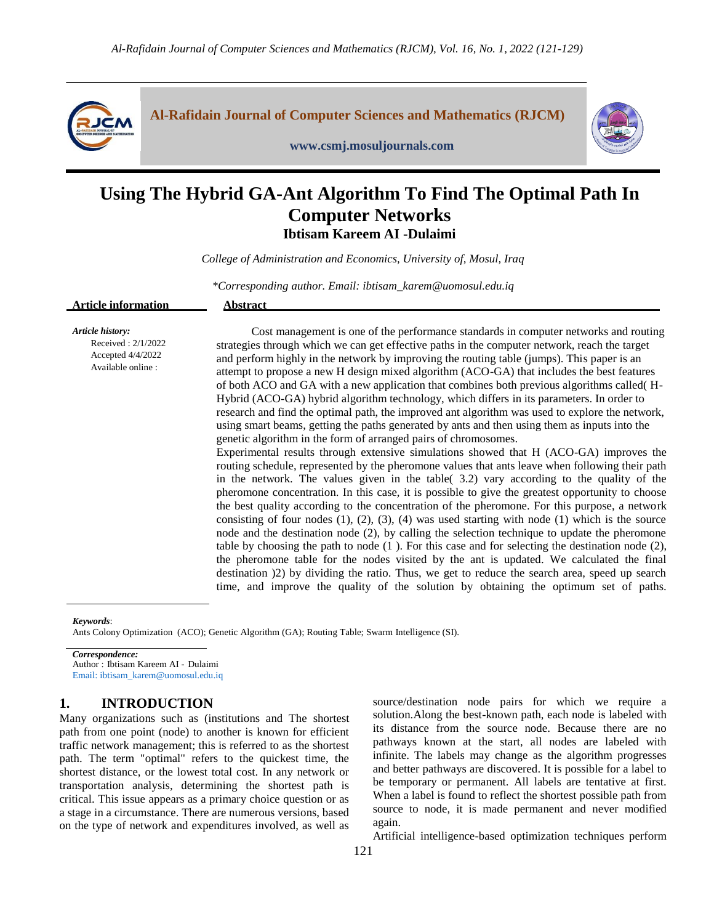

**Al-Rafidain Journal of Computer Sciences and Mathematics (RJCM)**



# **Using The Hybrid GA-Ant Algorithm To Find The Optimal Path In Computer Networks Ibtisam Kareem AI -Dulaimi**

**www.csmj.mosuljournals.com**

*College of Administration and Economics, University of, Mosul, Iraq* 

*\*Corresponding author. Email: ibtisam\_karem@uomosul.edu.iq*

| <b>Article information</b> | hatno of |               |  |  |  |
|----------------------------|----------|---------------|--|--|--|
|                            |          |               |  |  |  |
| .                          | $\sim$   | $\sim$ $\sim$ |  |  |  |

*Article history:* Received : 2/1/2022 Accepted 4/4/2022 Available online :

 Cost management is one of the performance standards in computer networks and routing strategies through which we can get effective paths in the computer network, reach the target and perform highly in the network by improving the routing table (jumps). This paper is an attempt to propose a new H design mixed algorithm (ACO-GA) that includes the best features of both ACO and GA with a new application that combines both previous algorithms called( H-Hybrid (ACO-GA) hybrid algorithm technology, which differs in its parameters. In order to research and find the optimal path, the improved ant algorithm was used to explore the network, using smart beams, getting the paths generated by ants and then using them as inputs into the genetic algorithm in the form of arranged pairs of chromosomes.

Experimental results through extensive simulations showed that H (ACO-GA) improves the routing schedule, represented by the pheromone values that ants leave when following their path in the network. The values given in the table( 3.2) vary according to the quality of the pheromone concentration. In this case, it is possible to give the greatest opportunity to choose the best quality according to the concentration of the pheromone. For this purpose, a network consisting of four nodes  $(1)$ ,  $(2)$ ,  $(3)$ ,  $(4)$  was used starting with node  $(1)$  which is the source node and the destination node (2), by calling the selection technique to update the pheromone table by choosing the path to node  $(1)$ . For this case and for selecting the destination node  $(2)$ , the pheromone table for the nodes visited by the ant is updated. We calculated the final destination )2) by dividing the ratio. Thus, we get to reduce the search area, speed up search time, and improve the quality of the solution by obtaining the optimum set of paths.

*Keywords*:

Ants Colony Optimization (ACO); Genetic Algorithm (GA); Routing Table; Swarm Intelligence (SI).

*Correspondence:* Author : Ibtisam Kareem AI - Dulaimi

Email: ibtisam\_karem@uomosul.edu.iq

# **1. INTRODUCTION**

Many organizations such as (institutions and The shortest path from one point (node) to another is known for efficient traffic network management; this is referred to as the shortest path. The term "optimal" refers to the quickest time, the shortest distance, or the lowest total cost. In any network or transportation analysis, determining the shortest path is critical. This issue appears as a primary choice question or as a stage in a circumstance. There are numerous versions, based on the type of network and expenditures involved, as well as

source/destination node pairs for which we require a solution.Along the best-known path, each node is labeled with its distance from the source node. Because there are no pathways known at the start, all nodes are labeled with infinite. The labels may change as the algorithm progresses and better pathways are discovered. It is possible for a label to be temporary or permanent. All labels are tentative at first. When a label is found to reflect the shortest possible path from source to node, it is made permanent and never modified again.

Artificial intelligence-based optimization techniques perform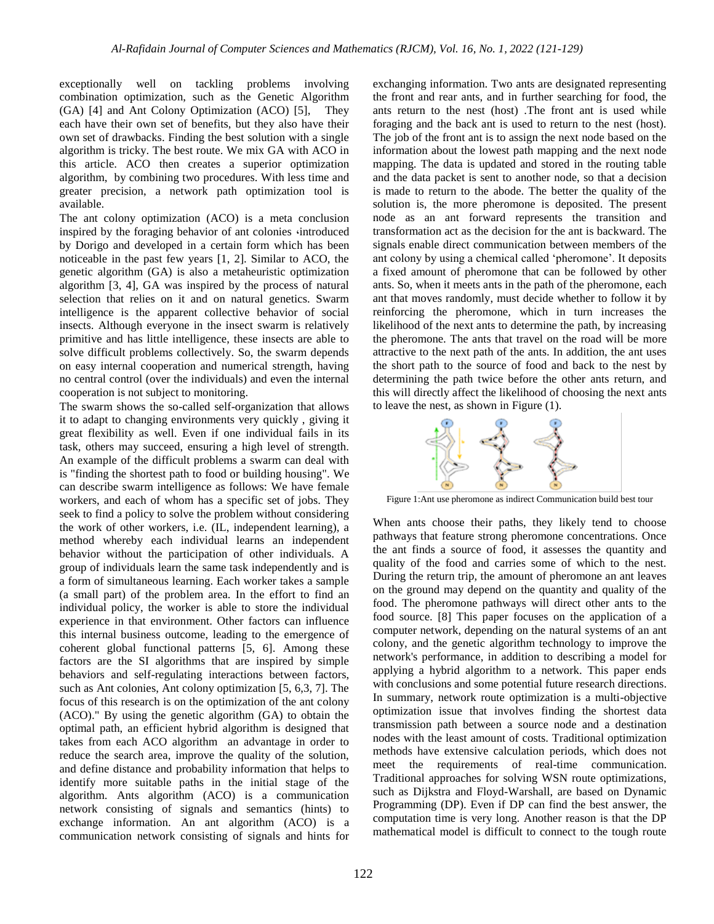exceptionally well on tackling problems involving combination optimization, such as the Genetic Algorithm (GA) [4] and Ant Colony Optimization (ACO) [5], They each have their own set of benefits, but they also have their own set of drawbacks. Finding the best solution with a single algorithm is tricky. The best route. We mix GA with ACO in this article. ACO then creates a superior optimization algorithm, by combining two procedures. With less time and greater precision, a network path optimization tool is available.

The ant colony optimization (ACO) is a meta conclusion inspired by the foraging behavior of ant colonies «introduced by Dorigo and developed in a certain form which has been noticeable in the past few years [1, 2]. Similar to ACO, the genetic algorithm (GA) is also a metaheuristic optimization algorithm [3, 4], GA was inspired by the process of natural selection that relies on it and on natural genetics. Swarm intelligence is the apparent collective behavior of social insects. Although everyone in the insect swarm is relatively primitive and has little intelligence, these insects are able to solve difficult problems collectively. So, the swarm depends on easy internal cooperation and numerical strength, having no central control (over the individuals) and even the internal cooperation is not subject to monitoring.

The swarm shows the so-called self-organization that allows it to adapt to changing environments very quickly , giving it great flexibility as well. Even if one individual fails in its task, others may succeed, ensuring a high level of strength. An example of the difficult problems a swarm can deal with is "finding the shortest path to food or building housing". We can describe swarm intelligence as follows: We have female workers, and each of whom has a specific set of jobs. They seek to find a policy to solve the problem without considering the work of other workers, i.e. (IL, independent learning), a method whereby each individual learns an independent behavior without the participation of other individuals. A group of individuals learn the same task independently and is a form of simultaneous learning. Each worker takes a sample (a small part) of the problem area. In the effort to find an individual policy, the worker is able to store the individual experience in that environment. Other factors can influence this internal business outcome, leading to the emergence of coherent global functional patterns [5, 6]. Among these factors are the SI algorithms that are inspired by simple behaviors and self-regulating interactions between factors, such as Ant colonies, Ant colony optimization [5, 6,3, 7]. The focus of this research is on the optimization of the ant colony (ACO)." By using the genetic algorithm (GA) to obtain the optimal path, an efficient hybrid algorithm is designed that takes from each ACO algorithm an advantage in order to reduce the search area, improve the quality of the solution, and define distance and probability information that helps to identify more suitable paths in the initial stage of the algorithm. Ants algorithm (ACO) is a communication network consisting of signals and semantics (hints) to exchange information. An ant algorithm (ACO) is a communication network consisting of signals and hints for

exchanging information. Two ants are designated representing the front and rear ants, and in further searching for food, the ants return to the nest (host) .The front ant is used while foraging and the back ant is used to return to the nest (host). The job of the front ant is to assign the next node based on the information about the lowest path mapping and the next node mapping. The data is updated and stored in the routing table and the data packet is sent to another node, so that a decision is made to return to the abode. The better the quality of the solution is, the more pheromone is deposited. The present node as an ant forward represents the transition and transformation act as the decision for the ant is backward. The signals enable direct communication between members of the ant colony by using a chemical called 'pheromone'. It deposits a fixed amount of pheromone that can be followed by other ants. So, when it meets ants in the path of the pheromone, each ant that moves randomly, must decide whether to follow it by reinforcing the pheromone, which in turn increases the likelihood of the next ants to determine the path, by increasing the pheromone. The ants that travel on the road will be more attractive to the next path of the ants. In addition, the ant uses the short path to the source of food and back to the nest by determining the path twice before the other ants return, and this will directly affect the likelihood of choosing the next ants to leave the nest, as shown in Figure (1).



Figure 1:Ant use pheromone as indirect Communication build best tour

When ants choose their paths, they likely tend to choose pathways that feature strong pheromone concentrations. Once the ant finds a source of food, it assesses the quantity and quality of the food and carries some of which to the nest. During the return trip, the amount of pheromone an ant leaves on the ground may depend on the quantity and quality of the food. The pheromone pathways will direct other ants to the food source. [8] This paper focuses on the application of a computer network, depending on the natural systems of an ant colony, and the genetic algorithm technology to improve the network's performance, in addition to describing a model for applying a hybrid algorithm to a network. This paper ends with conclusions and some potential future research directions. In summary, network route optimization is a multi-objective optimization issue that involves finding the shortest data transmission path between a source node and a destination nodes with the least amount of costs. Traditional optimization methods have extensive calculation periods, which does not meet the requirements of real-time communication. Traditional approaches for solving WSN route optimizations, such as Dijkstra and Floyd-Warshall, are based on Dynamic Programming (DP). Even if DP can find the best answer, the computation time is very long. Another reason is that the DP mathematical model is difficult to connect to the tough route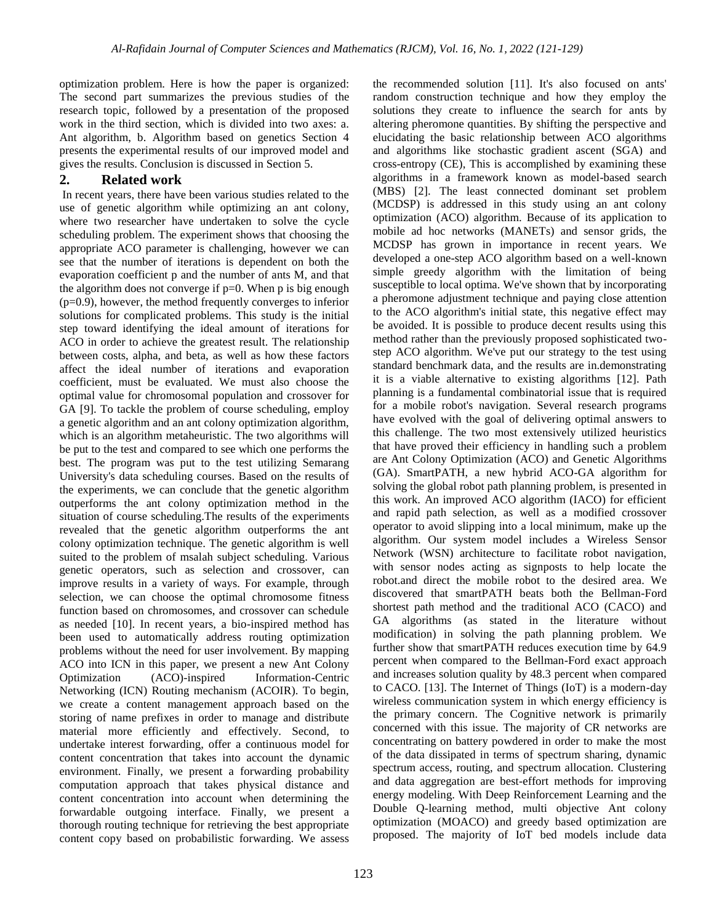optimization problem. Here is how the paper is organized: The second part summarizes the previous studies of the research topic, followed by a presentation of the proposed work in the third section, which is divided into two axes: a. Ant algorithm, b. Algorithm based on genetics Section 4 presents the experimental results of our improved model and gives the results. Conclusion is discussed in Section 5.

## **2. Related work**

In recent years, there have been various studies related to the use of genetic algorithm while optimizing an ant colony, where two researcher have undertaken to solve the cycle scheduling problem. The experiment shows that choosing the appropriate ACO parameter is challenging, however we can see that the number of iterations is dependent on both the evaporation coefficient p and the number of ants M, and that the algorithm does not converge if  $p=0$ . When p is big enough (p=0.9), however, the method frequently converges to inferior solutions for complicated problems. This study is the initial step toward identifying the ideal amount of iterations for ACO in order to achieve the greatest result. The relationship between costs, alpha, and beta, as well as how these factors affect the ideal number of iterations and evaporation coefficient, must be evaluated. We must also choose the optimal value for chromosomal population and crossover for GA [9]. To tackle the problem of course scheduling, employ a genetic algorithm and an ant colony optimization algorithm, which is an algorithm metaheuristic. The two algorithms will be put to the test and compared to see which one performs the best. The program was put to the test utilizing Semarang University's data scheduling courses. Based on the results of the experiments, we can conclude that the genetic algorithm outperforms the ant colony optimization method in the situation of course scheduling.The results of the experiments revealed that the genetic algorithm outperforms the ant colony optimization technique. The genetic algorithm is well suited to the problem of msalah subject scheduling. Various genetic operators, such as selection and crossover, can improve results in a variety of ways. For example, through selection, we can choose the optimal chromosome fitness function based on chromosomes, and crossover can schedule as needed [10]. In recent years, a bio-inspired method has been used to automatically address routing optimization problems without the need for user involvement. By mapping ACO into ICN in this paper, we present a new Ant Colony Optimization (ACO)-inspired Information-Centric Networking (ICN) Routing mechanism (ACOIR). To begin, we create a content management approach based on the storing of name prefixes in order to manage and distribute material more efficiently and effectively. Second, to undertake interest forwarding, offer a continuous model for content concentration that takes into account the dynamic environment. Finally, we present a forwarding probability computation approach that takes physical distance and content concentration into account when determining the forwardable outgoing interface. Finally, we present a thorough routing technique for retrieving the best appropriate content copy based on probabilistic forwarding. We assess

this work. An improved ACO algorithm (IACO) for efficient and rapid path selection, as well as a modified crossover operator to avoid slipping into a local minimum, make up the algorithm. Our system model includes a Wireless Sensor Network (WSN) architecture to facilitate robot navigation, with sensor nodes acting as signposts to help locate the robot.and direct the mobile robot to the desired area. We discovered that smartPATH beats both the Bellman-Ford shortest path method and the traditional ACO (CACO) and GA algorithms (as stated in the literature without modification) in solving the path planning problem. We further show that smartPATH reduces execution time by 64.9 percent when compared to the Bellman-Ford exact approach and increases solution quality by 48.3 percent when compared to CACO. [13]. The Internet of Things (IoT) is a modern-day wireless communication system in which energy efficiency is the primary concern. The Cognitive network is primarily concerned with this issue. The majority of CR networks are concentrating on battery powdered in order to make the most of the data dissipated in terms of spectrum sharing, dynamic spectrum access, routing, and spectrum allocation. Clustering and data aggregation are best-effort methods for improving energy modeling. With Deep Reinforcement Learning and the Double Q-learning method, multi objective Ant colony optimization (MOACO) and greedy based optimization are proposed. The majority of IoT bed models include data

the recommended solution [11]. It's also focused on ants' random construction technique and how they employ the solutions they create to influence the search for ants by altering pheromone quantities. By shifting the perspective and elucidating the basic relationship between ACO algorithms and algorithms like stochastic gradient ascent (SGA) and cross-entropy (CE), This is accomplished by examining these algorithms in a framework known as model-based search (MBS) [2]. The least connected dominant set problem (MCDSP) is addressed in this study using an ant colony optimization (ACO) algorithm. Because of its application to mobile ad hoc networks (MANETs) and sensor grids, the MCDSP has grown in importance in recent years. We developed a one-step ACO algorithm based on a well-known simple greedy algorithm with the limitation of being susceptible to local optima. We've shown that by incorporating a pheromone adjustment technique and paying close attention to the ACO algorithm's initial state, this negative effect may be avoided. It is possible to produce decent results using this method rather than the previously proposed sophisticated twostep ACO algorithm. We've put our strategy to the test using standard benchmark data, and the results are in.demonstrating it is a viable alternative to existing algorithms [12]. Path planning is a fundamental combinatorial issue that is required for a mobile robot's navigation. Several research programs have evolved with the goal of delivering optimal answers to this challenge. The two most extensively utilized heuristics that have proved their efficiency in handling such a problem are Ant Colony Optimization (ACO) and Genetic Algorithms (GA). SmartPATH, a new hybrid ACO-GA algorithm for solving the global robot path planning problem, is presented in

123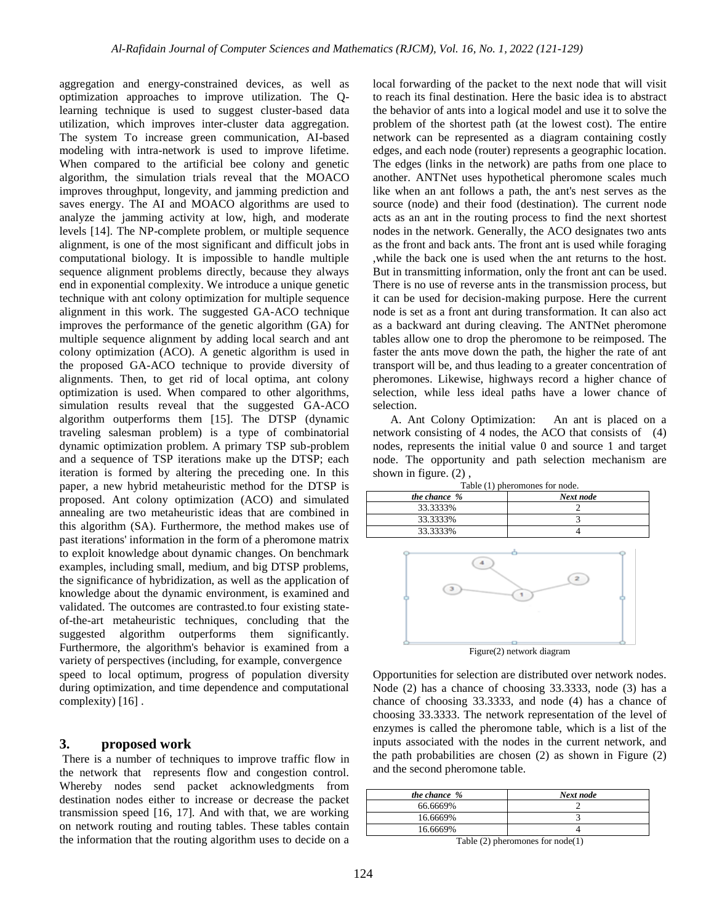aggregation and energy-constrained devices, as well as optimization approaches to improve utilization. The Qlearning technique is used to suggest cluster-based data utilization, which improves inter-cluster data aggregation. The system To increase green communication, AI-based modeling with intra-network is used to improve lifetime. When compared to the artificial bee colony and genetic algorithm, the simulation trials reveal that the MOACO improves throughput, longevity, and jamming prediction and saves energy. The AI and MOACO algorithms are used to analyze the jamming activity at low, high, and moderate levels [14]. The NP-complete problem, or multiple sequence alignment, is one of the most significant and difficult jobs in computational biology. It is impossible to handle multiple sequence alignment problems directly, because they always end in exponential complexity. We introduce a unique genetic technique with ant colony optimization for multiple sequence alignment in this work. The suggested GA-ACO technique improves the performance of the genetic algorithm (GA) for multiple sequence alignment by adding local search and ant colony optimization (ACO). A genetic algorithm is used in the proposed GA-ACO technique to provide diversity of alignments. Then, to get rid of local optima, ant colony optimization is used. When compared to other algorithms, simulation results reveal that the suggested GA-ACO algorithm outperforms them [15]. The DTSP (dynamic traveling salesman problem) is a type of combinatorial dynamic optimization problem. A primary TSP sub-problem and a sequence of TSP iterations make up the DTSP; each iteration is formed by altering the preceding one. In this paper, a new hybrid metaheuristic method for the DTSP is proposed. Ant colony optimization (ACO) and simulated annealing are two metaheuristic ideas that are combined in this algorithm (SA). Furthermore, the method makes use of past iterations' information in the form of a pheromone matrix to exploit knowledge about dynamic changes. On benchmark examples, including small, medium, and big DTSP problems, the significance of hybridization, as well as the application of knowledge about the dynamic environment, is examined and validated. The outcomes are contrasted.to four existing stateof-the-art metaheuristic techniques, concluding that the suggested algorithm outperforms them significantly. Furthermore, the algorithm's behavior is examined from a variety of perspectives (including, for example, convergence speed to local optimum, progress of population diversity during optimization, and time dependence and computational complexity) [16].

## **3. proposed work**

There is a number of techniques to improve traffic flow in the network that represents flow and congestion control. Whereby nodes send packet acknowledgments from destination nodes either to increase or decrease the packet transmission speed [16, 17]. And with that, we are working on network routing and routing tables. These tables contain the information that the routing algorithm uses to decide on a

local forwarding of the packet to the next node that will visit to reach its final destination. Here the basic idea is to abstract the behavior of ants into a logical model and use it to solve the problem of the shortest path (at the lowest cost). The entire network can be represented as a diagram containing costly edges, and each node (router) represents a geographic location. The edges (links in the network) are paths from one place to another. ANTNet uses hypothetical pheromone scales much like when an ant follows a path, the ant's nest serves as the source (node) and their food (destination). The current node acts as an ant in the routing process to find the next shortest nodes in the network. Generally, the ACO designates two ants as the front and back ants. The front ant is used while foraging ,while the back one is used when the ant returns to the host. But in transmitting information, only the front ant can be used. There is no use of reverse ants in the transmission process, but it can be used for decision-making purpose. Here the current node is set as a front ant during transformation. It can also act as a backward ant during cleaving. The ANTNet pheromone tables allow one to drop the pheromone to be reimposed. The faster the ants move down the path, the higher the rate of ant transport will be, and thus leading to a greater concentration of pheromones. Likewise, highways record a higher chance of selection, while less ideal paths have a lower chance of selection.

 A. Ant Colony Optimization: An ant is placed on a network consisting of 4 nodes, the ACO that consists of (4) nodes, represents the initial value 0 and source 1 and target node. The opportunity and path selection mechanism are shown in figure. (2) ,

|  | Table (1) pheromones for node. |  |  |
|--|--------------------------------|--|--|
|--|--------------------------------|--|--|

| the chance $%$ | Next node |  |
|----------------|-----------|--|
| 33.3333%       |           |  |
| 33.3333%       |           |  |
| 33.3333%       |           |  |



Opportunities for selection are distributed over network nodes. Node (2) has a chance of choosing 33.3333, node (3) has a chance of choosing 33.3333, and node (4) has a chance of choosing 33.3333. The network representation of the level of enzymes is called the pheromone table, which is a list of the inputs associated with the nodes in the current network, and the path probabilities are chosen (2) as shown in Figure (2) and the second pheromone table.

| the chance $%$ | Next node   |
|----------------|-------------|
| 66.6669%       |             |
| 16.6669%       |             |
| 16.6669%       |             |
|                | $\sim$<br>. |

Table (2) pheromones for node(1)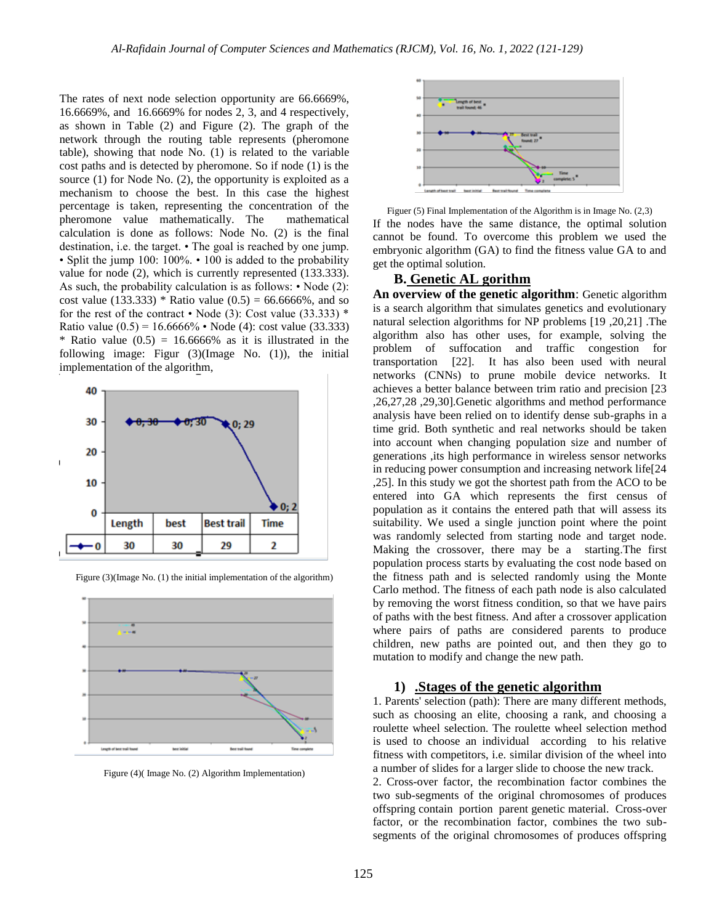The rates of next node selection opportunity are 66.6669%, 16.6669%, and 16.6669% for nodes 2, 3, and 4 respectively, as shown in Table (2) and Figure (2). The graph of the network through the routing table represents (pheromone table), showing that node No. (1) is related to the variable cost paths and is detected by pheromone. So if node (1) is the source (1) for Node No. (2), the opportunity is exploited as a mechanism to choose the best. In this case the highest percentage is taken, representing the concentration of the pheromone value mathematically. The mathematical calculation is done as follows: Node No. (2) is the final destination, i.e. the target. • The goal is reached by one jump. • Split the jump 100: 100%. • 100 is added to the probability value for node (2), which is currently represented (133.333). As such, the probability calculation is as follows: • Node (2): cost value (133.333) \* Ratio value (0.5) = 66.6666%, and so for the rest of the contract  $\cdot$  Node (3): Cost value (33.333)  $*$ Ratio value  $(0.5) = 16.6666\%$  • Node (4): cost value (33.333) \* Ratio value  $(0.5) = 16.6666\%$  as it is illustrated in the following image: Figur (3)(Image No. (1)), the initial implementation of the algorithm,





Figure (3)(Image No. (1) the initial implementation of the algorithm)

Figure (4)( Image No. (2) Algorithm Implementation)



Figuer (5) Final Implementation of the Algorithm is in Image No. (2,3) If the nodes have the same distance, the optimal solution cannot be found. To overcome this problem we used the embryonic algorithm (GA) to find the fitness value GA to and get the optimal solution.

## **B. Genetic AL gorithm**

**An overview of the genetic algorithm**: Genetic algorithm is a search algorithm that simulates genetics and evolutionary natural selection algorithms for NP problems [19 ,20,21] .The algorithm also has other uses, for example, solving the problem of suffocation and traffic congestion for transportation [22]. It has also been used with neural networks (CNNs) to prune mobile device networks. It achieves a better balance between trim ratio and precision [23 ,26,27,28 ,29,30].Genetic algorithms and method performance analysis have been relied on to identify dense sub-graphs in a time grid. Both synthetic and real networks should be taken into account when changing population size and number of generations ,its high performance in wireless sensor networks in reducing power consumption and increasing network life[24 ,25]. In this study we got the shortest path from the ACO to be entered into GA which represents the first census of population as it contains the entered path that will assess its suitability. We used a single junction point where the point was randomly selected from starting node and target node. Making the crossover, there may be a starting.The first population process starts by evaluating the cost node based on the fitness path and is selected randomly using the Monte Carlo method. The fitness of each path node is also calculated by removing the worst fitness condition, so that we have pairs of paths with the best fitness. And after a crossover application where pairs of paths are considered parents to produce children, new paths are pointed out, and then they go to mutation to modify and change the new path.

#### **1) .Stages of the genetic algorithm**

1. Parents' selection (path): There are many different methods, such as choosing an elite, choosing a rank, and choosing a roulette wheel selection. The roulette wheel selection method is used to choose an individual according to his relative fitness with competitors, i.e. similar division of the wheel into a number of slides for a larger slide to choose the new track.

2. Cross-over factor, the recombination factor combines the two sub-segments of the original chromosomes of produces offspring contain portion parent genetic material. Cross-over factor, or the recombination factor, combines the two subsegments of the original chromosomes of produces offspring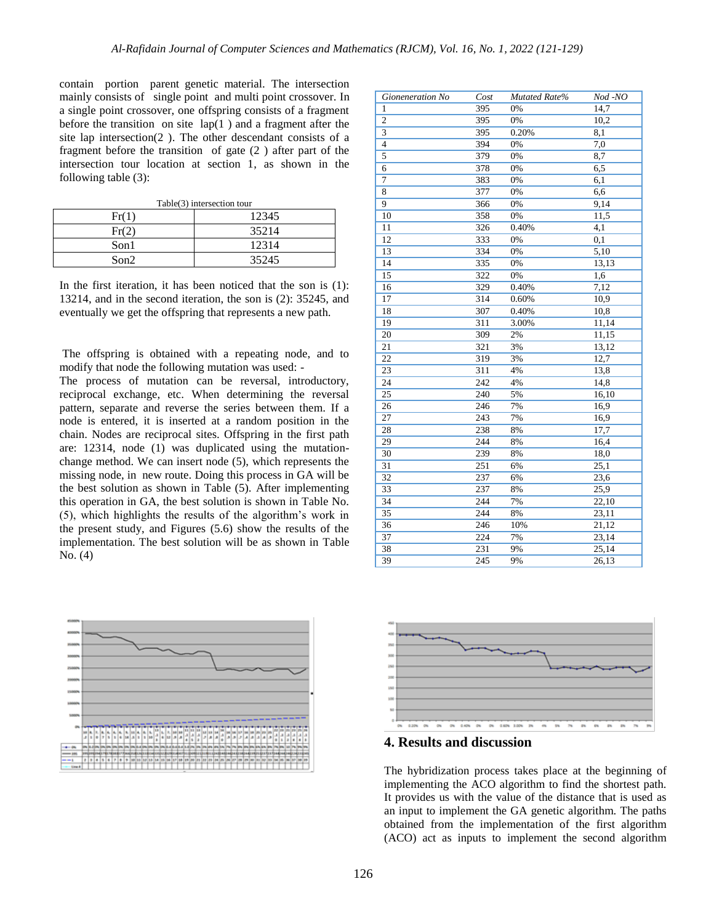contain portion parent genetic material. The intersection mainly consists of single point and multi point crossover. In a single point crossover, one offspring consists of a fragment before the transition on site lap(1 ) and a fragment after the site lap intersection(2 ). The other descendant consists of a fragment before the transition of gate (2 ) after part of the intersection tour location at section 1, as shown in the following table (3):

Table(3) intersection tour

| $\rm Fr(1)$ | 12345 |  |  |
|-------------|-------|--|--|
| Fr(2)       | 35214 |  |  |
| Son1        | 12314 |  |  |
| Son2        | 35245 |  |  |

In the first iteration, it has been noticed that the son is (1): 13214, and in the second iteration, the son is (2): 35245, and eventually we get the offspring that represents a new path.

The offspring is obtained with a repeating node, and to modify that node the following mutation was used: -

The process of mutation can be reversal, introductory, reciprocal exchange, etc. When determining the reversal pattern, separate and reverse the series between them. If a node is entered, it is inserted at a random position in the chain. Nodes are reciprocal sites. Offspring in the first path are: 12314, node (1) was duplicated using the mutationchange method. We can insert node (5), which represents the missing node, in new route. Doing this process in GA will be the best solution as shown in Table (5). After implementing this operation in GA, the best solution is shown in Table No. (5), which highlights the results of the algorithm's work in the present study, and Figures (5.6) show the results of the implementation. The best solution will be as shown in Table No. (4)



| Gioneneration No | Cost | Mutated Rate% | Nod -NO |
|------------------|------|---------------|---------|
| 1                | 395  | 0%            | 14,7    |
| $\overline{c}$   | 395  | 0%            | 10,2    |
| 3                | 395  | 0.20%         | 8,1     |
| $\overline{4}$   | 394  | 0%            | 7,0     |
| 5                | 379  | 0%            | 8,7     |
| 6                | 378  | 0%            | 6,5     |
| 7                | 383  | 0%            | 6,1     |
| 8                | 377  | 0%            | 6,6     |
| 9                | 366  | 0%            | 9,14    |
| 10               | 358  | 0%            | 11,5    |
| 11               | 326  | 0.40%         | 4,1     |
| 12               | 333  | 0%            | 0,1     |
| 13               | 334  | 0%            | 5,10    |
| 14               | 335  | 0%            | 13,13   |
| 15               | 322  | 0%            | 1,6     |
| 16               | 329  | 0.40%         | 7,12    |
| 17               | 314  | 0.60%         | 10,9    |
| 18               | 307  | 0.40%         | 10,8    |
| 19               | 311  | 3.00%         | 11,14   |
| 20               | 309  | 2%            | 11,15   |
| 21               | 321  | 3%            | 13,12   |
| 22               | 319  | 3%            | 12,7    |
| 23               | 311  | 4%            | 13,8    |
| 24               | 242  | 4%            | 14,8    |
| 25               | 240  | 5%            | 16,10   |
| 26               | 246  | 7%            | 16,9    |
| $\overline{27}$  | 243  | 7%            | 16,9    |
| 28               | 238  | 8%            | 17,7    |
| 29               | 244  | 8%            | 16,4    |
| 30               | 239  | 8%            | 18,0    |
| $\overline{31}$  | 251  | 6%            | 25,1    |
| 32               | 237  | 6%            | 23,6    |
| 33               | 237  | 8%            | 25,9    |
| 34               | 244  | 7%            | 22,10   |
| 35               | 244  | 8%            | 23,11   |
| 36               | 246  | 10%           | 21,12   |
| 37               | 224  | 7%            | 23,14   |
| 38               | 231  | 9%            | 25,14   |
| 39               | 245  | 9%            | 26,13   |



**4. Results and discussion**

The hybridization process takes place at the beginning of implementing the ACO algorithm to find the shortest path. It provides us with the value of the distance that is used as an input to implement the GA genetic algorithm. The paths obtained from the implementation of the first algorithm (ACO) act as inputs to implement the second algorithm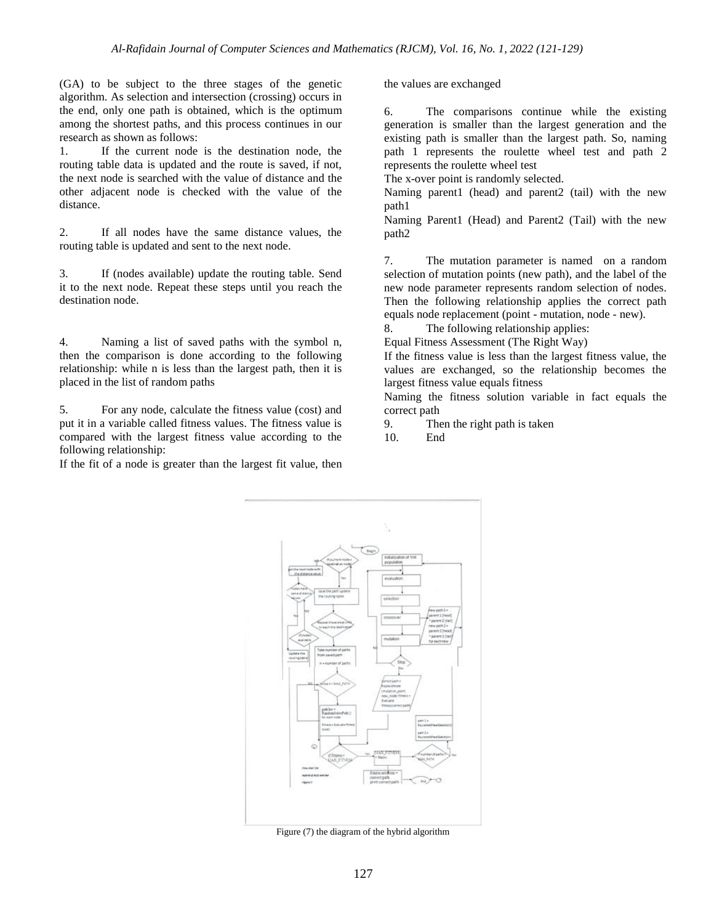(GA) to be subject to the three stages of the genetic algorithm. As selection and intersection (crossing) occurs in the end, only one path is obtained, which is the optimum among the shortest paths, and this process continues in our research as shown as follows:

1. If the current node is the destination node, the routing table data is updated and the route is saved, if not, the next node is searched with the value of distance and the other adjacent node is checked with the value of the distance.

2. If all nodes have the same distance values, the routing table is updated and sent to the next node.

3. If (nodes available) update the routing table. Send it to the next node. Repeat these steps until you reach the destination node.

4. Naming a list of saved paths with the symbol n, then the comparison is done according to the following relationship: while n is less than the largest path, then it is placed in the list of random paths

5. For any node, calculate the fitness value (cost) and put it in a variable called fitness values. The fitness value is compared with the largest fitness value according to the following relationship:

If the fit of a node is greater than the largest fit value, then

the values are exchanged

6. The comparisons continue while the existing generation is smaller than the largest generation and the existing path is smaller than the largest path. So, naming path 1 represents the roulette wheel test and path 2 represents the roulette wheel test

The x-over point is randomly selected.

Naming parent1 (head) and parent2 (tail) with the new path1

Naming Parent1 (Head) and Parent2 (Tail) with the new path2

7. The mutation parameter is named on a random selection of mutation points (new path), and the label of the new node parameter represents random selection of nodes. Then the following relationship applies the correct path equals node replacement (point - mutation, node - new).

8. The following relationship applies: Equal Fitness Assessment (The Right Way)

If the fitness value is less than the largest fitness value, the values are exchanged, so the relationship becomes the largest fitness value equals fitness

Naming the fitness solution variable in fact equals the correct path

9. Then the right path is taken

10. End



Figure (7) the diagram of the hybrid algorithm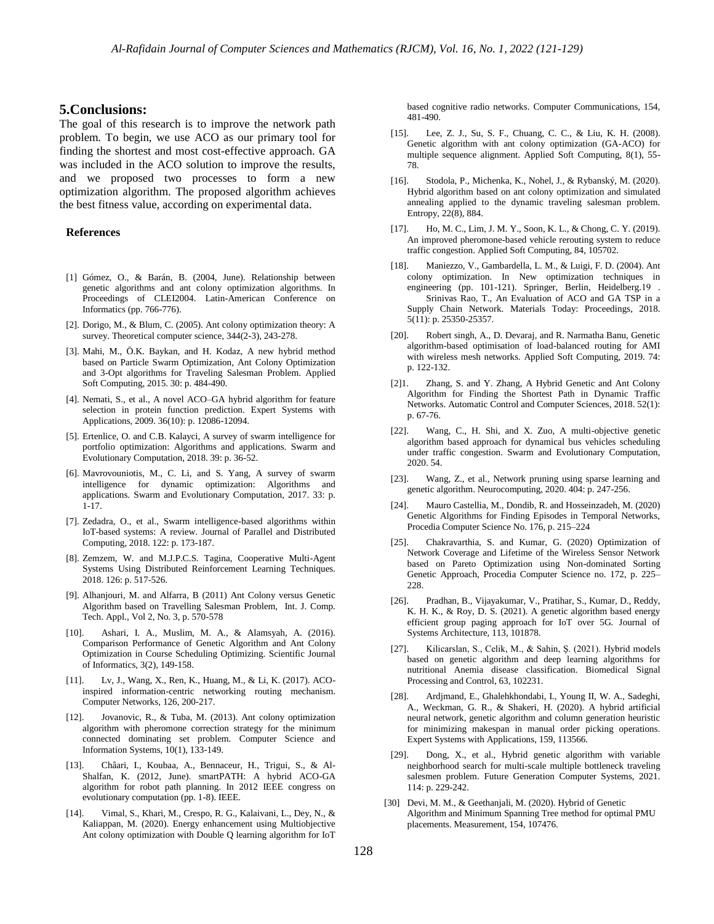#### **5.Conclusions:**

The goal of this research is to improve the network path problem. To begin, we use ACO as our primary tool for finding the shortest and most cost-effective approach. GA was included in the ACO solution to improve the results, and we proposed two processes to form a new optimization algorithm. The proposed algorithm achieves the best fitness value, according on experimental data.

#### **References**

- [1] Gómez, O., & Barán, B. (2004, June). Relationship between genetic algorithms and ant colony optimization algorithms. In Proceedings of CLEI2004. Latin-American Conference on Informatics (pp. 766-776).
- [2]. Dorigo, M., & Blum, C. (2005). Ant colony optimization theory: A survey. Theoretical computer science, 344(2-3), 243-278.
- [3]. Mahi, M., Ö.K. Baykan, and H. Kodaz, A new hybrid method based on Particle Swarm Optimization, Ant Colony Optimization and 3-Opt algorithms for Traveling Salesman Problem. Applied Soft Computing, 2015. 30: p. 484-490.
- [4]. Nemati, S., et al., A novel ACO–GA hybrid algorithm for feature selection in protein function prediction. Expert Systems with Applications, 2009. 36(10): p. 12086-12094.
- [5]. Ertenlice, O. and C.B. Kalayci, A survey of swarm intelligence for portfolio optimization: Algorithms and applications. Swarm and Evolutionary Computation, 2018. 39: p. 36-52.
- [6]. Mavrovouniotis, M., C. Li, and S. Yang, A survey of swarm intelligence for dynamic optimization: Algorithms and applications. Swarm and Evolutionary Computation, 2017. 33: p. 1-17.
- [7]. Zedadra, O., et al., Swarm intelligence-based algorithms within IoT-based systems: A review. Journal of Parallel and Distributed Computing, 2018. 122: p. 173-187.
- [8]. Zemzem, W. and M.J.P.C.S. Tagina, Cooperative Multi-Agent Systems Using Distributed Reinforcement Learning Techniques. 2018. 126: p. 517-526.
- [9]. Alhanjouri, M. and Alfarra, B (2011) Ant Colony versus Genetic Algorithm based on Travelling Salesman Problem, Int. J. Comp. Tech. Appl., Vol 2, No. 3, p. 570-578
- Ashari, I. A., Muslim, M. A., & Alamsyah, A. (2016). Comparison Performance of Genetic Algorithm and Ant Colony Optimization in Course Scheduling Optimizing. Scientific Journal of Informatics, 3(2), 149-158.
- [11]. Lv, J., Wang, X., Ren, K., Huang, M., & Li, K. (2017). ACOinspired information-centric networking routing mechanism. Computer Networks, 126, 200-217.
- [12]. Jovanovic, R., & Tuba, M. (2013). Ant colony optimization algorithm with pheromone correction strategy for the minimum connected dominating set problem. Computer Science and Information Systems, 10(1), 133-149.
- [13]. Châari, I., Koubaa, A., Bennaceur, H., Trigui, S., & Al-Shalfan, K. (2012, June). smartPATH: A hybrid ACO-GA algorithm for robot path planning. In 2012 IEEE congress on evolutionary computation (pp. 1-8). IEEE.
- [14]. Vimal, S., Khari, M., Crespo, R. G., Kalaivani, L., Dey, N., & Kaliappan, M. (2020). Energy enhancement using Multiobjective Ant colony optimization with Double Q learning algorithm for IoT

based cognitive radio networks. Computer Communications, 154, 481-490.

- [15]. Lee, Z. J., Su, S. F., Chuang, C. C., & Liu, K. H. (2008). Genetic algorithm with ant colony optimization (GA-ACO) for multiple sequence alignment. Applied Soft Computing, 8(1), 55- 78.
- [16]. Stodola, P., Michenka, K., Nohel, J., & Rybanský, M. (2020). Hybrid algorithm based on ant colony optimization and simulated annealing applied to the dynamic traveling salesman problem. Entropy, 22(8), 884.
- [17]. Ho, M. C., Lim, J. M. Y., Soon, K. L., & Chong, C. Y. (2019). An improved pheromone-based vehicle rerouting system to reduce traffic congestion. Applied Soft Computing, 84, 105702.
- [18]. Maniezzo, V., Gambardella, L. M., & Luigi, F. D. (2004). Ant colony optimization. In New optimization techniques in engineering (pp. 101-121). Springer, Berlin, Heidelberg.19 . Srinivas Rao, T., An Evaluation of ACO and GA TSP in a Supply Chain Network. Materials Today: Proceedings, 2018. 5(11): p. 25350-25357.
- [20]. Robert singh, A., D. Devaraj, and R. Narmatha Banu, Genetic algorithm-based optimisation of load-balanced routing for AMI with wireless mesh networks. Applied Soft Computing, 2019. 74: p. 122-132.
- [2]1. Zhang, S. and Y. Zhang, A Hybrid Genetic and Ant Colony Algorithm for Finding the Shortest Path in Dynamic Traffic Networks. Automatic Control and Computer Sciences, 2018. 52(1): p. 67-76.
- [22]. Wang, C., H. Shi, and X. Zuo, A multi-objective genetic algorithm based approach for dynamical bus vehicles scheduling under traffic congestion. Swarm and Evolutionary Computation, 2020. 54.
- [23]. Wang, Z., et al., Network pruning using sparse learning and genetic algorithm. Neurocomputing, 2020. 404: p. 247-256.
- [24]. Mauro Castellia, M., Dondib, R. and Hosseinzadeh, M. (2020) Genetic Algorithms for Finding Episodes in Temporal Networks, Procedia Computer Science No. 176, p. 215–224
- [25]. Chakravarthia, S. and Kumar, G. (2020) Optimization of Network Coverage and Lifetime of the Wireless Sensor Network based on Pareto Optimization using Non-dominated Sorting Genetic Approach, Procedia Computer Science no. 172, p. 225– 228.
- [26]. Pradhan, B., Vijayakumar, V., Pratihar, S., Kumar, D., Reddy, K. H. K., & Roy, D. S. (2021). A genetic algorithm based energy efficient group paging approach for IoT over 5G. Journal of Systems Architecture, 113, 101878.
- [27]. Kilicarslan, S., Celik, M., & Sahin, Ş. (2021). Hybrid models based on genetic algorithm and deep learning algorithms for nutritional Anemia disease classification. Biomedical Signal Processing and Control, 63, 102231.
- [28]. Ardjmand, E., Ghalehkhondabi, I., Young II, W. A., Sadeghi, A., Weckman, G. R., & Shakeri, H. (2020). A hybrid artificial neural network, genetic algorithm and column generation heuristic for minimizing makespan in manual order picking operations. Expert Systems with Applications, 159, 113566.
- [29]. Dong, X., et al., Hybrid genetic algorithm with variable neighborhood search for multi-scale multiple bottleneck traveling salesmen problem. Future Generation Computer Systems, 2021. 114: p. 229-242.
- [30] Devi, M. M., & Geethanjali, M. (2020). Hybrid of Genetic Algorithm and Minimum Spanning Tree method for optimal PMU placements. Measurement, 154, 107476.